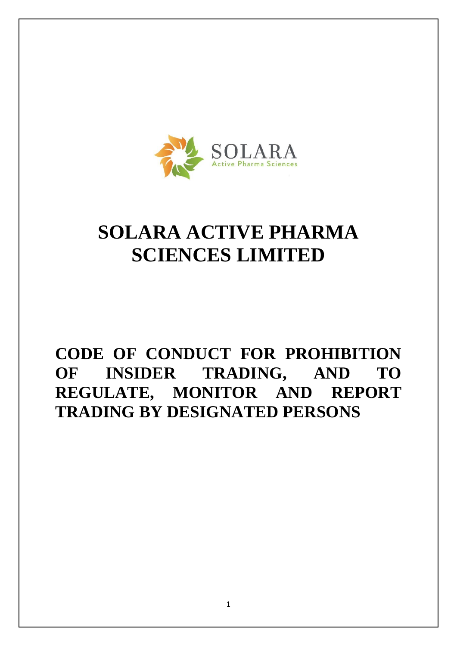

# **SOLARA ACTIVE PHARMA SCIENCES LIMITED**

# **CODE OF CONDUCT FOR PROHIBITION OF INSIDER TRADING, AND TO REGULATE, MONITOR AND REPORT TRADING BY DESIGNATED PERSONS**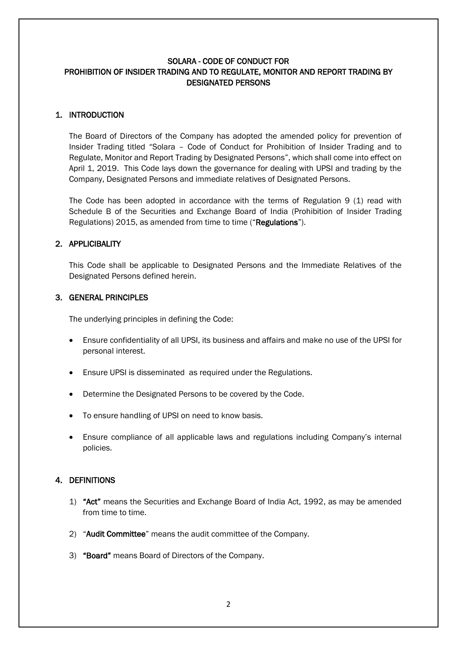#### SOLARA - CODE OF CONDUCT FOR PROHIBITION OF INSIDER TRADING AND TO REGULATE, MONITOR AND REPORT TRADING BY DESIGNATED PERSONS

#### 1. INTRODUCTION

The Board of Directors of the Company has adopted the amended policy for prevention of Insider Trading titled "Solara – Code of Conduct for Prohibition of Insider Trading and to Regulate, Monitor and Report Trading by Designated Persons", which shall come into effect on April 1, 2019. This Code lays down the governance for dealing with UPSI and trading by the Company, Designated Persons and immediate relatives of Designated Persons.

The Code has been adopted in accordance with the terms of Regulation 9 (1) read with Schedule B of the Securities and Exchange Board of India (Prohibition of Insider Trading Regulations) 2015, as amended from time to time ("Regulations").

#### 2. APPLICIBALITY

This Code shall be applicable to Designated Persons and the Immediate Relatives of the Designated Persons defined herein.

#### 3. GENERAL PRINCIPLES

The underlying principles in defining the Code:

- Ensure confidentiality of all UPSI, its business and affairs and make no use of the UPSI for personal interest.
- Ensure UPSI is disseminated as required under the Regulations.
- Determine the Designated Persons to be covered by the Code.
- To ensure handling of UPSI on need to know basis.
- Ensure compliance of all applicable laws and regulations including Company's internal policies.

#### 4. DEFINITIONS

- 1) "Act" means the Securities and Exchange Board of India Act, 1992, as may be amended from time to time.
- 2) "Audit Committee" means the audit committee of the Company.
- 3) "Board" means Board of Directors of the Company.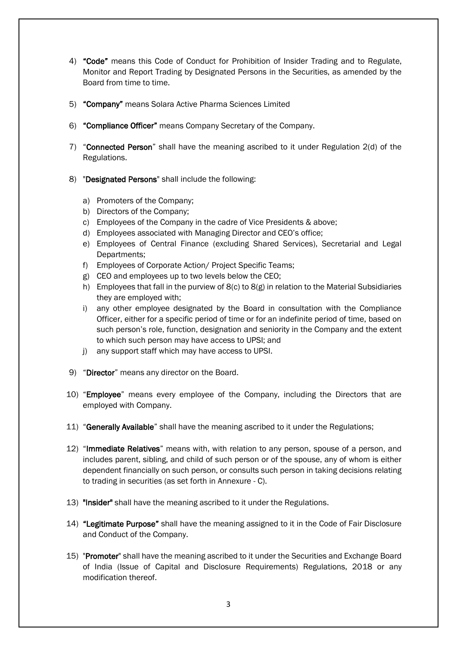- 4) "Code" means this Code of Conduct for Prohibition of Insider Trading and to Regulate, Monitor and Report Trading by Designated Persons in the Securities, as amended by the Board from time to time.
- 5) "Company" means Solara Active Pharma Sciences Limited
- 6) "Compliance Officer" means Company Secretary of the Company.
- 7) "Connected Person" shall have the meaning ascribed to it under Regulation 2(d) of the Regulations.
- 8) "Designated Persons" shall include the following:
	- a) Promoters of the Company;
	- b) Directors of the Company;
	- c) Employees of the Company in the cadre of Vice Presidents & above;
	- d) Employees associated with Managing Director and CEO's office;
	- e) Employees of Central Finance (excluding Shared Services), Secretarial and Legal Departments;
	- f) Employees of Corporate Action/ Project Specific Teams;
	- g) CEO and employees up to two levels below the CEO;
	- h) Employees that fall in the purview of 8(c) to 8(g) in relation to the Material Subsidiaries they are employed with;
	- i) any other employee designated by the Board in consultation with the Compliance Officer, either for a specific period of time or for an indefinite period of time, based on such person's role, function, designation and seniority in the Company and the extent to which such person may have access to UPSI; and
	- j) any support staff which may have access to UPSI.
- 9) "Director" means any director on the Board.
- 10) "Employee" means every employee of the Company, including the Directors that are employed with Company.
- 11) "Generally Available" shall have the meaning ascribed to it under the Regulations;
- 12) "Immediate Relatives" means with, with relation to any person, spouse of a person, and includes parent, sibling, and child of such person or of the spouse, any of whom is either dependent financially on such person, or consults such person in taking decisions relating to trading in securities (as set forth in Annexure - C).
- 13) "Insider" shall have the meaning ascribed to it under the Regulations.
- 14) "Legitimate Purpose" shall have the meaning assigned to it in the Code of Fair Disclosure and Conduct of the Company.
- 15) "Promoter" shall have the meaning ascribed to it under the Securities and Exchange Board of India (Issue of Capital and Disclosure Requirements) Regulations, 2018 or any modification thereof.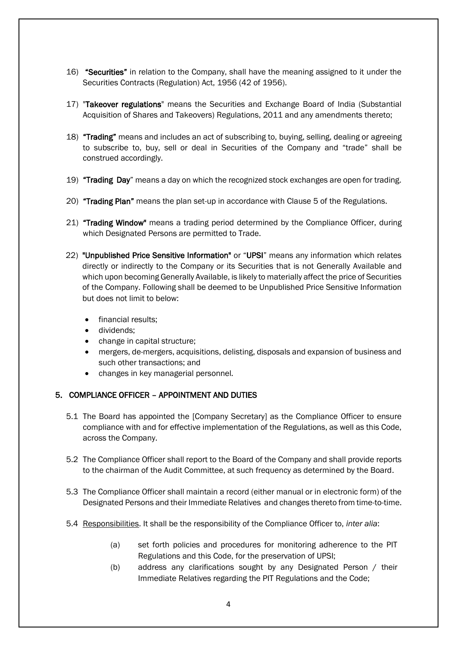- 16) "Securities" in relation to the Company, shall have the meaning assigned to it under the Securities Contracts (Regulation) Act, 1956 (42 of 1956).
- 17) "Takeover regulations" means the Securities and Exchange Board of India (Substantial Acquisition of Shares and Takeovers) Regulations, 2011 and any amendments thereto;
- 18) "Trading" means and includes an act of subscribing to, buying, selling, dealing or agreeing to subscribe to, buy, sell or deal in Securities of the Company and "trade" shall be construed accordingly.
- 19) "Trading Day" means a day on which the recognized stock exchanges are open for trading.
- 20) "Trading Plan" means the plan set-up in accordance with Clause 5 of the Regulations.
- 21) "Trading Window" means a trading period determined by the Compliance Officer, during which Designated Persons are permitted to Trade.
- 22) "Unpublished Price Sensitive Information" or "UPSI" means any information which relates directly or indirectly to the Company or its Securities that is not Generally Available and which upon becoming Generally Available, is likely to materially affect the price of Securities of the Company. Following shall be deemed to be Unpublished Price Sensitive Information but does not limit to below:
	- financial results:
	- dividends;
	- change in capital structure;
	- mergers, de-mergers, acquisitions, delisting, disposals and expansion of business and such other transactions; and
	- changes in key managerial personnel*.*

#### 5. COMPLIANCE OFFICER – APPOINTMENT AND DUTIES

- 5.1 The Board has appointed the [Company Secretary] as the Compliance Officer to ensure compliance with and for effective implementation of the Regulations, as well as this Code, across the Company.
- 5.2 The Compliance Officer shall report to the Board of the Company and shall provide reports to the chairman of the Audit Committee, at such frequency as determined by the Board.
- 5.3 The Compliance Officer shall maintain a record (either manual or in electronic form) of the Designated Persons and their Immediate Relatives and changes thereto from time-to-time.
- 5.4 Responsibilities. It shall be the responsibility of the Compliance Officer to, *inter alia*:
	- (a) set forth policies and procedures for monitoring adherence to the PIT Regulations and this Code, for the preservation of UPSI;
	- (b) address any clarifications sought by any Designated Person / their Immediate Relatives regarding the PIT Regulations and the Code;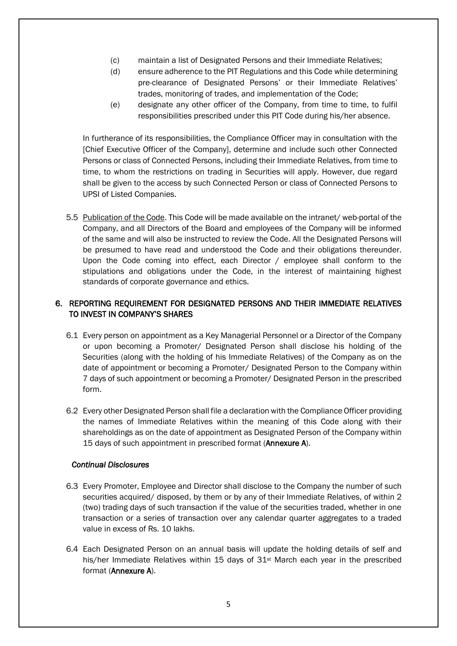- (c) maintain a list of Designated Persons and their Immediate Relatives;
- (d) ensure adherence to the PIT Regulations and this Code while determining pre-clearance of Designated Persons' or their Immediate Relatives' trades, monitoring of trades, and implementation of the Code;
- (e) designate any other officer of the Company, from time to time, to fulfil responsibilities prescribed under this PIT Code during his/her absence.

In furtherance of its responsibilities, the Compliance Officer may in consultation with the [Chief Executive Officer of the Company], determine and include such other Connected Persons or class of Connected Persons, including their Immediate Relatives, from time to time, to whom the restrictions on trading in Securities will apply. However, due regard shall be given to the access by such Connected Person or class of Connected Persons to UPSI of Listed Companies.

5.5 Publication of the Code. This Code will be made available on the intranet/ web-portal of the Company, and all Directors of the Board and employees of the Company will be informed of the same and will also be instructed to review the Code. All the Designated Persons will be presumed to have read and understood the Code and their obligations thereunder. Upon the Code coming into effect, each Director / employee shall conform to the stipulations and obligations under the Code, in the interest of maintaining highest standards of corporate governance and ethics.

# 6. REPORTING REQUIREMENT FOR DESIGNATED PERSONS AND THEIR IMMEDIATE RELATIVES TO INVEST IN COMPANY'S SHARES

- 6.1 Every person on appointment as a Key Managerial Personnel or a Director of the Company or upon becoming a Promoter/ Designated Person shall disclose his holding of the Securities (along with the holding of his Immediate Relatives) of the Company as on the date of appointment or becoming a Promoter/ Designated Person to the Company within 7 days of such appointment or becoming a Promoter/ Designated Person inthe prescribed form.
- 6.2 Every other Designated Person shall file a declaration with the Compliance Officer providing the names of Immediate Relatives within the meaning of this Code along with their shareholdings as on the date of appointment as Designated Person of the Company within 15 days of such appointment in prescribed format (**Annexure A**).

#### *Continual Disclosures*

- 6.3 Every Promoter, Employee and Director shall disclose to the Company the number of such securities acquired/ disposed, by them or by any of their Immediate Relatives, of within 2 (two) trading days of such transaction if the value of the securities traded, whether in one transaction or a series of transaction over any calendar quarter aggregates to a traded value in excess of Rs. 10 lakhs.
- 6.4 Each Designated Person on an annual basis will update the holding details of self and his/her Immediate Relatives within 15 days of 31<sup>st</sup> March each year in the prescribed format (Annexure A).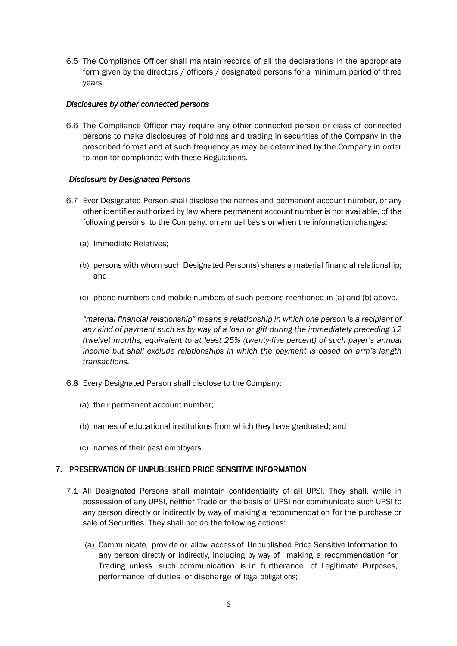6.5 The Compliance Officer shall maintain records of all the declarations in the appropriate form given by the directors / officers / designated persons for a minimum period of three years.

#### *Disclosures by other connected persons*

6.6 The Compliance Officer may require any other connected person or class of connected persons to make disclosures of holdings and trading in securities of the Company in the prescribed format and at such frequency as may be determined by the Company in order to monitor compliance with these Regulations.

#### *Disclosure by Designated Persons*

- 6.7 Ever Designated Person shall disclose the names and permanent account number, or any other identifier authorized by law where permanent account number is not available, of the following persons, to the Company, on annual basis or when the information changes:
	- (a) Immediate Relatives;
	- (b) persons with whom such Designated Person(s) shares a material financial relationship; and
	- (c) phone numbers and mobile numbers of such persons mentioned in (a) and (b) above.

*"material financial relationship" means a relationship in which one person is a recipient of any kind of payment such as by way of a loan or gift during the immediately preceding 12 (twelve) months, equivalent to at least 25% (twenty-five percent) of such payer's annual income but shall exclude relationships in which the payment is based on arm's length transactions.*

- 6.8 Every Designated Person shall disclose to the Company:
	- (a) their permanent account number;
	- (b) names of educational institutions from which they have graduated; and
	- (c) names of their past employers.

#### 7. PRESERVATION OF UNPUBLISHED PRICE SENSITIVE INFORMATION

- 7.1 All Designated Persons shall maintain confidentiality of all UPSI. They shall, while in possession of any UPSI, neither Trade on the basis of UPSI nor communicate such UPSI to any person directly or indirectly by way of making a recommendation for the purchase or sale of Securities. They shall not do the following actions:
	- (a) Communicate, provide or allow access of Unpublished Price Sensitive Information to any person directly or indirectly, including by way of making a recommendation for Trading unless such communication is in furtherance of Legitimate Purposes, performance of duties or discharge of legal obligations;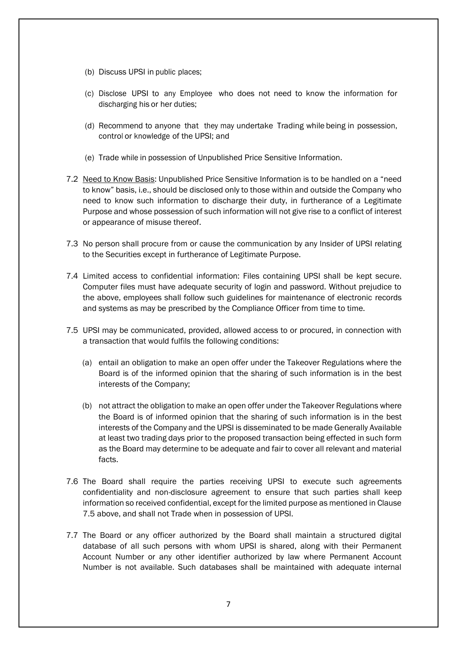- (b) Discuss UPSI in public places;
- (c) Disclose UPSI to any Employee who does not need to know the information for discharging his or her duties;
- (d) Recommend to anyone that they may undertake Trading while being in possession, control or knowledge of the UPSI; and
- (e) Trade while in possession of Unpublished Price Sensitive Information.
- 7.2 Need to Know Basis: Unpublished Price Sensitive Information is to be handled on a "need to know" basis, i.e., should be disclosed only to those within and outside the Company who need to know such information to discharge their duty, in furtherance of a Legitimate Purpose and whose possession of such information will not give rise to a conflict of interest or appearance of misuse thereof.
- 7.3 No person shall procure from or cause the communication by any Insider of UPSI relating to the Securities except in furtherance of Legitimate Purpose.
- 7.4 Limited access to confidential information: Files containing UPSI shall be kept secure. Computer files must have adequate security of login and password. Without prejudice to the above, employees shall follow such guidelines for maintenance of electronic records and systems as may be prescribed by the Compliance Officer from time to time.
- 7.5 UPSI may be communicated, provided, allowed access to or procured, in connection with a transaction that would fulfils the following conditions:
	- (a) entail an obligation to make an open offer under the Takeover Regulations where the Board is of the informed opinion that the sharing of such information is in the best interests of the Company;
	- (b) not attract the obligation to make an open offer under the Takeover Regulations where the Board is of informed opinion that the sharing of such information is in the best interests of the Company and the UPSI is disseminated to be made Generally Available at least two trading days prior to the proposed transaction being effected in such form as the Board may determine to be adequate and fair to cover all relevant and material facts.
- 7.6 The Board shall require the parties receiving UPSI to execute such agreements confidentiality and non-disclosure agreement to ensure that such parties shall keep information so received confidential, except for the limited purpose as mentioned in Clause 7.5 above, and shall not Trade when in possession of UPSI.
- 7.7 The Board or any officer authorized by the Board shall maintain a structured digital database of all such persons with whom UPSI is shared, along with their Permanent Account Number or any other identifier authorized by law where Permanent Account Number is not available. Such databases shall be maintained with adequate internal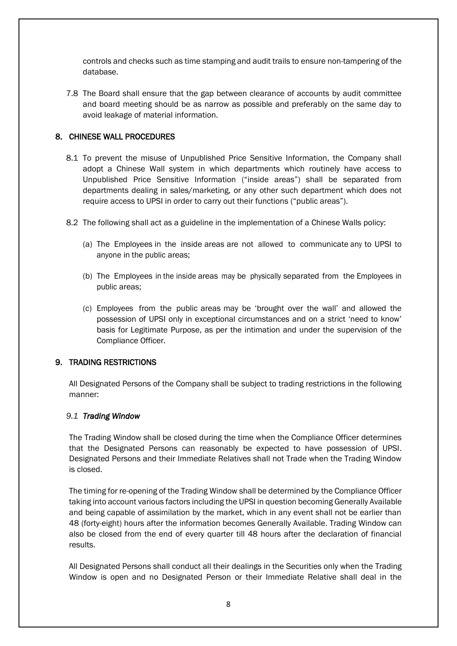controls and checks such as time stamping and audit trails to ensure non-tampering of the database.

7.8 The Board shall ensure that the gap between clearance of accounts by audit committee and board meeting should be as narrow as possible and preferably on the same day to avoid leakage of material information.

#### 8. CHINESE WALL PROCEDURES

- 8.1 To prevent the misuse of Unpublished Price Sensitive Information, the Company shall adopt a Chinese Wall system in which departments which routinely have access to Unpublished Price Sensitive Information ("inside areas") shall be separated from departments dealing in sales/marketing, or any other such department which does not require access to UPSI in order to carry out their functions ("public areas").
- 8.2 The following shall act as a guideline in the implementation of a Chinese Walls policy:
	- (a) The Employees in the inside areas are not allowed to communicate any to UPSI to anyone in the public areas;
	- (b) The Employees in the inside areas may be physically separated from the Employees in public areas;
	- (c) Employees from the public areas may be 'brought over the wall' and allowed the possession of UPSI only in exceptional circumstances and on a strict 'need to know' basis for Legitimate Purpose, as per the intimation and under the supervision of the Compliance Officer.

#### 9. TRADING RESTRICTIONS

All Designated Persons of the Company shall be subject to trading restrictions in the following manner:

#### *9.1 Trading Window*

The Trading Window shall be closed during the time when the Compliance Officer determines that the Designated Persons can reasonably be expected to have possession of UPSI. Designated Persons and their Immediate Relatives shall not Trade when the Trading Window is closed.

The timing for re-opening of the Trading Window shall be determined by the Compliance Officer taking into account various factors including the UPSI in question becoming Generally Available and being capable of assimilation by the market, which in any event shall not be earlier than 48 (forty-eight) hours after the information becomes Generally Available. Trading Window can also be closed from the end of every quarter till 48 hours after the declaration of financial results.

All Designated Persons shall conduct all their dealings in the Securities only when the Trading Window is open and no Designated Person or their Immediate Relative shall deal in the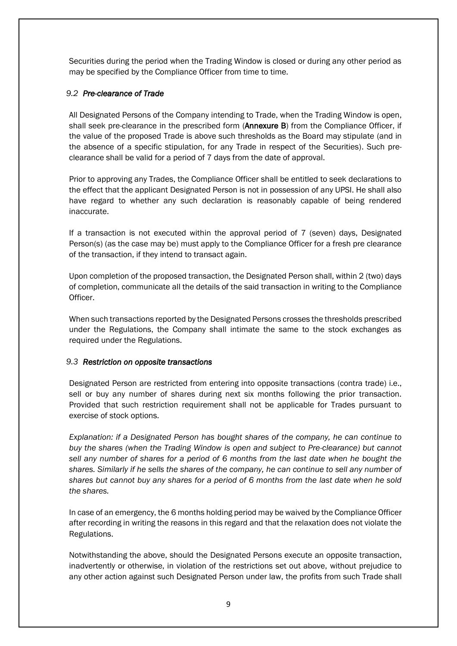Securities during the period when the Trading Window is closed or during any other period as may be specified by the Compliance Officer from time to time.

#### *9.2 Pre-clearance of Trade*

All Designated Persons of the Company intending to Trade, when the Trading Window is open, shall seek pre-clearance in the prescribed form (Annexure B) from the Compliance Officer, if the value of the proposed Trade is above such thresholds as the Board may stipulate (and in the absence of a specific stipulation, for any Trade in respect of the Securities). Such preclearance shall be valid for a period of 7 days from the date of approval.

Prior to approving any Trades, the Compliance Officer shall be entitled to seek declarations to the effect that the applicant Designated Person is not in possession of any UPSI. He shall also have regard to whether any such declaration is reasonably capable of being rendered inaccurate.

If a transaction is not executed within the approval period of 7 (seven) days, Designated Person(s) (as the case may be) must apply to the Compliance Officer for a fresh pre clearance of the transaction, if they intend to transact again.

Upon completion of the proposed transaction, the Designated Person shall, within 2 (two) days of completion, communicate all the details of the said transaction in writing to the Compliance Officer.

When such transactions reported by the Designated Persons crosses the thresholds prescribed under the Regulations, the Company shall intimate the same to the stock exchanges as required under the Regulations.

#### *9.3 Restriction on opposite transactions*

Designated Person are restricted from entering into opposite transactions (contra trade) i.e., sell or buy any number of shares during next six months following the prior transaction. Provided that such restriction requirement shall not be applicable for Trades pursuant to exercise of stock options.

*Explanation: if a Designated Person has bought shares of the company, he can continue to buy the shares (when the Trading Window is open and subject to Pre-clearance) but cannot sell any number of shares for a period of 6 months from the last date when he bought the shares. Similarly if he sells the shares of the company, he can continue to sell any number of shares but cannot buy any shares for a period of 6 months from the last date when he sold the shares.*

In case of an emergency, the 6 months holding period may be waived by the Compliance Officer after recording in writing the reasons in this regard and that the relaxation does not violate the Regulations.

Notwithstanding the above, should the Designated Persons execute an opposite transaction, inadvertently or otherwise, in violation of the restrictions set out above, without prejudice to any other action against such Designated Person under law, the profits from such Trade shall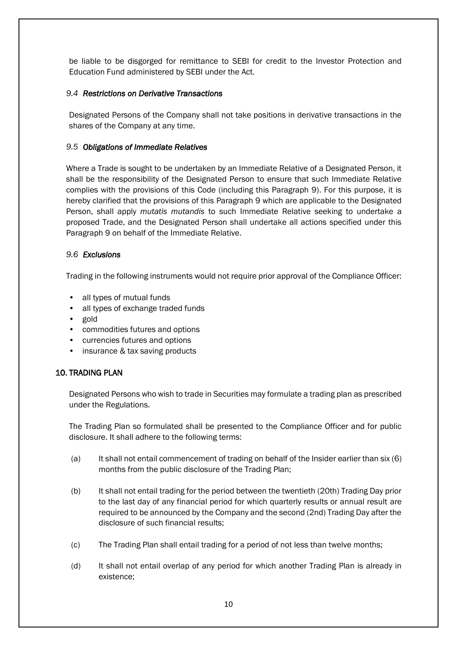be liable to be disgorged for remittance to SEBI for credit to the Investor Protection and Education Fund administered by SEBI under the Act.

#### *9.4 Restrictions on Derivative Transactions*

Designated Persons of the Company shall not take positions in derivative transactions in the shares of the Company at any time.

#### *9.5 Obligations of Immediate Relatives*

Where a Trade is sought to be undertaken by an Immediate Relative of a Designated Person, it shall be the responsibility of the Designated Person to ensure that such Immediate Relative complies with the provisions of this Code (including this Paragraph 9). For this purpose, it is hereby clarified that the provisions of this Paragraph 9 which are applicable to the Designated Person, shall apply *mutatis mutandis* to such Immediate Relative seeking to undertake a proposed Trade, and the Designated Person shall undertake all actions specified under this Paragraph 9 on behalf of the Immediate Relative.

#### *9.6 Exclusions*

Trading in the following instruments would not require prior approval of the Compliance Officer:

- all types of mutual funds
- all types of exchange traded funds
- gold
- commodities futures and options
- currencies futures and options
- insurance & tax saving products

# 10. TRADING PLAN

Designated Persons who wish to trade in Securities may formulate a trading plan as prescribed under the Regulations.

The Trading Plan so formulated shall be presented to the Compliance Officer and for public disclosure. It shall adhere to the following terms:

- (a) It shall not entail commencement of trading on behalf of the Insider earlier than six (6) months from the public disclosure of the Trading Plan;
- (b) It shall not entail trading for the period between the twentieth (20th) Trading Day prior to the last day of any financial period for which quarterly results or annual result are required to be announced by the Company and the second (2nd) Trading Day after the disclosure of such financial results;
- (c) The Trading Plan shall entail trading for a period of not less than twelve months;
- (d) It shall not entail overlap of any period for which another Trading Plan is already in existence;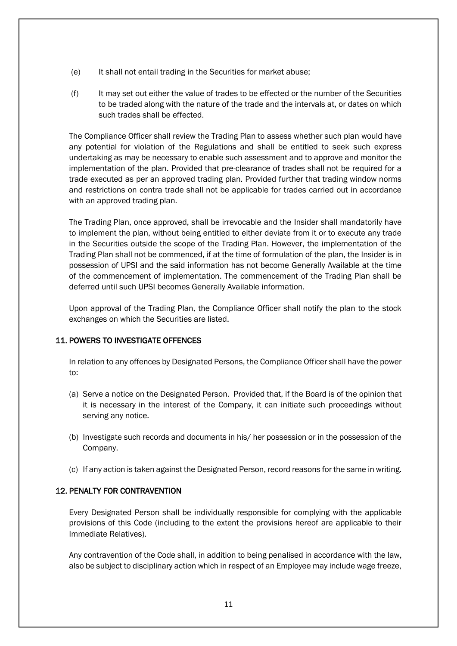- (e) It shall not entail trading in the Securities for market abuse;
- (f) It may set out either the value of trades to be effected or the number of the Securities to be traded along with the nature of the trade and the intervals at, or dates on which such trades shall be effected.

The Compliance Officer shall review the Trading Plan to assess whether such plan would have any potential for violation of the Regulations and shall be entitled to seek such express undertaking as may be necessary to enable such assessment and to approve and monitor the implementation of the plan. Provided that pre-clearance of trades shall not be required for a trade executed as per an approved trading plan. Provided further that trading window norms and restrictions on contra trade shall not be applicable for trades carried out in accordance with an approved trading plan.

The Trading Plan, once approved, shall be irrevocable and the Insider shall mandatorily have to implement the plan, without being entitled to either deviate from it or to execute any trade in the Securities outside the scope of the Trading Plan. However, the implementation of the Trading Plan shall not be commenced, if at the time of formulation of the plan, the Insider is in possession of UPSI and the said information has not become Generally Available at the time of the commencement of implementation. The commencement of the Trading Plan shall be deferred until such UPSI becomes Generally Available information.

Upon approval of the Trading Plan, the Compliance Officer shall notify the plan to the stock exchanges on which the Securities are listed.

#### 11. POWERS TO INVESTIGATE OFFENCES

In relation to any offences by Designated Persons, the Compliance Officer shall have the power to:

- (a) Serve a notice on the Designated Person. Provided that, if the Board is of the opinion that it is necessary in the interest of the Company, it can initiate such proceedings without serving any notice.
- (b) Investigate such records and documents in his/ her possession or in the possession of the Company.
- (c) If any action is taken against the Designated Person, record reasons for the same in writing.

#### 12. PENALTY FOR CONTRAVENTION

Every Designated Person shall be individually responsible for complying with the applicable provisions of this Code (including to the extent the provisions hereof are applicable to their Immediate Relatives).

Any contravention of the Code shall, in addition to being penalised in accordance with the law, also be subject to disciplinary action which in respect of an Employee may include wage freeze,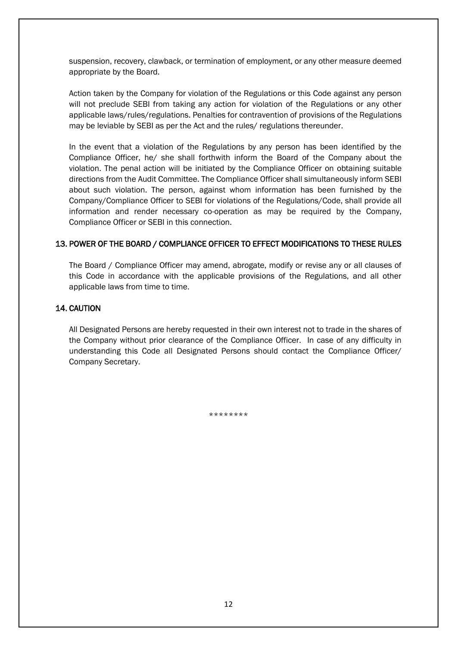suspension, recovery, clawback, or termination of employment, or any other measure deemed appropriate by the Board.

Action taken by the Company for violation of the Regulations or this Code against any person will not preclude SEBI from taking any action for violation of the Regulations or any other applicable laws/rules/regulations. Penalties for contravention of provisions of the Regulations may be leviable by SEBI as per the Act and the rules/ regulations thereunder.

In the event that a violation of the Regulations by any person has been identified by the Compliance Officer, he/ she shall forthwith inform the Board of the Company about the violation. The penal action will be initiated by the Compliance Officer on obtaining suitable directions from the Audit Committee. The Compliance Officer shall simultaneously inform SEBI about such violation. The person, against whom information has been furnished by the Company/Compliance Officer to SEBI for violations of the Regulations/Code, shall provide all information and render necessary co-operation as may be required by the Company, Compliance Officer or SEBI in this connection.

#### 13. POWER OF THE BOARD / COMPLIANCE OFFICER TO EFFECT MODIFICATIONS TO THESE RULES

The Board / Compliance Officer may amend, abrogate, modify or revise any or all clauses of this Code in accordance with the applicable provisions of the Regulations, and all other applicable laws from time to time.

#### 14. CAUTION

All Designated Persons are hereby requested in their own interest not to trade in the shares of the Company without prior clearance of the Compliance Officer. In case of any difficulty in understanding this Code all Designated Persons should contact the Compliance Officer/ Company Secretary.

\*\*\*\*\*\*\*\*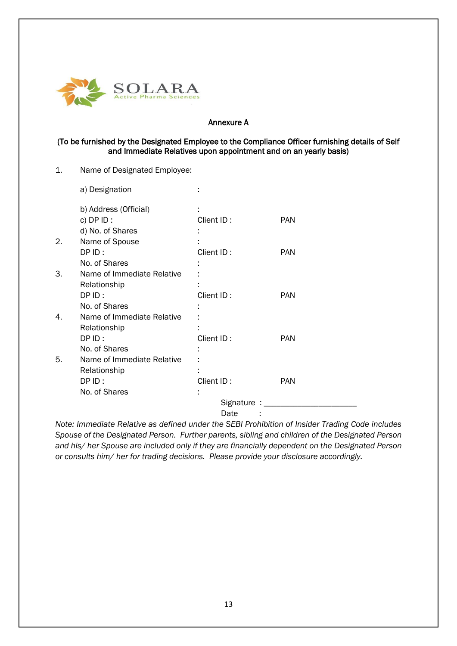

#### Annexure A

#### (To be furnished by the Designated Employee to the Compliance Officer furnishing details of Self and Immediate Relatives upon appointment and on an yearly basis)

1. Name of Designated Employee:

|    | a) Designation             |                    |            |
|----|----------------------------|--------------------|------------|
|    | b) Address (Official)      |                    |            |
|    | c) $DPID$ :                | Client ID:         | <b>PAN</b> |
|    | d) No. of Shares           |                    |            |
| 2. | Name of Spouse             |                    |            |
|    | DPID:                      | Client ID:         | <b>PAN</b> |
|    | No. of Shares              |                    |            |
| 3. | Name of Immediate Relative |                    |            |
|    | Relationship               |                    |            |
|    | DPID:                      | Client ID:         | <b>PAN</b> |
|    | No. of Shares              |                    |            |
| 4. | Name of Immediate Relative |                    |            |
|    | Relationship               |                    |            |
|    | DPID:                      | Client ID:         | <b>PAN</b> |
|    | No. of Shares              |                    |            |
| 5. | Name of Immediate Relative |                    |            |
|    | Relationship               |                    |            |
|    | DPID:                      | Client ID:         | <b>PAN</b> |
|    | No. of Shares              |                    |            |
|    |                            | Signature : ______ |            |
|    |                            | Date               |            |
|    |                            |                    |            |

*Note: Immediate Relative as defined under the SEBI Prohibition of Insider Trading Code includes Spouse of the Designated Person. Further parents, sibling and children of the Designated Person and his/ her Spouse are included only if they are financially dependent on the Designated Person or consults him/ her for trading decisions. Please provide your disclosure accordingly.*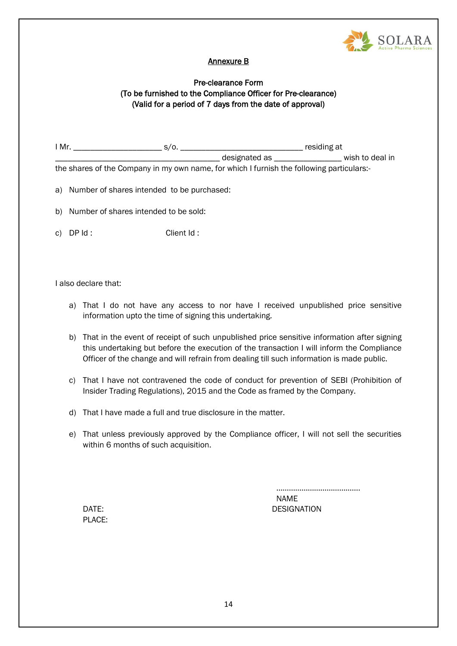

# Annexure B

# Pre-clearance Form (To be furnished to the Compliance Officer for Pre-clearance) (Valid for a period of 7 days from the date of approval)

| I Mr.                                                                                     | S/0.          | residing at |                 |
|-------------------------------------------------------------------------------------------|---------------|-------------|-----------------|
|                                                                                           | designated as |             | wish to deal in |
| the shares of the Company in my own name, for which I furnish the following particulars:- |               |             |                 |

- a) Number of shares intended to be purchased:
- b) Number of shares intended to be sold:
- c) DP Id : Client Id :

I also declare that:

- a) That I do not have any access to nor have I received unpublished price sensitive information upto the time of signing this undertaking.
- b) That in the event of receipt of such unpublished price sensitive information after signing this undertaking but before the execution of the transaction I will inform the Compliance Officer of the change and will refrain from dealing till such information is made public.
- c) That I have not contravened the code of conduct for prevention of SEBI (Prohibition of Insider Trading Regulations), 2015 and the Code as framed by the Company.
- d) That I have made a full and true disclosure in the matter.
- e) That unless previously approved by the Compliance officer, I will not sell the securities within 6 months of such acquisition.

PLACE:

……………………………………… NAME DATE: DATE: